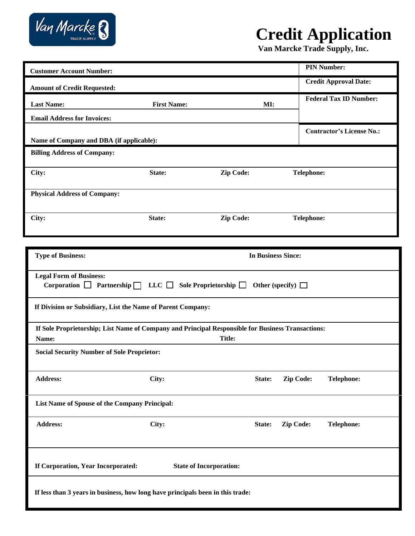

# **Credit Application**

**Van Marcke Trade Supply, Inc.**

| <b>Customer Account Number:</b>                                                                   |                           |                            |                        |                   | <b>PIN Number:</b>               |
|---------------------------------------------------------------------------------------------------|---------------------------|----------------------------|------------------------|-------------------|----------------------------------|
| <b>Amount of Credit Requested:</b>                                                                |                           |                            |                        |                   | <b>Credit Approval Date:</b>     |
| <b>Last Name:</b>                                                                                 | <b>First Name:</b>        |                            | MI:                    |                   | <b>Federal Tax ID Number:</b>    |
| <b>Email Address for Invoices:</b>                                                                |                           |                            |                        |                   |                                  |
| Name of Company and DBA (if applicable):                                                          |                           |                            |                        |                   | <b>Contractor's License No.:</b> |
| <b>Billing Address of Company:</b>                                                                |                           |                            |                        |                   |                                  |
|                                                                                                   |                           |                            |                        |                   |                                  |
| City:                                                                                             | State:                    | Zip Code:                  |                        | <b>Telephone:</b> |                                  |
| <b>Physical Address of Company:</b>                                                               |                           |                            |                        |                   |                                  |
|                                                                                                   |                           |                            |                        |                   |                                  |
| City:                                                                                             | State:                    | Zip Code:                  |                        | <b>Telephone:</b> |                                  |
|                                                                                                   |                           |                            |                        |                   |                                  |
| <b>Type of Business:</b>                                                                          | <b>In Business Since:</b> |                            |                        |                   |                                  |
|                                                                                                   |                           |                            |                        |                   |                                  |
| <b>Legal Form of Business:</b><br>Corporation $\Box$ Partnership $\Box$ LLC $\Box$                |                           | Sole Proprietorship $\Box$ | Other (specify) $\Box$ |                   |                                  |
|                                                                                                   |                           |                            |                        |                   |                                  |
| If Division or Subsidiary, List the Name of Parent Company:                                       |                           |                            |                        |                   |                                  |
| If Sole Proprietorship; List Name of Company and Principal Responsible for Business Transactions: |                           |                            |                        |                   |                                  |
| Name:                                                                                             |                           | <b>Title:</b>              |                        |                   |                                  |
| <b>Social Security Number of Sole Proprietor:</b>                                                 |                           |                            |                        |                   |                                  |
| <b>Address:</b>                                                                                   | City:                     |                            | State:                 | Zip Code:         | <b>Telephone:</b>                |
|                                                                                                   |                           |                            |                        |                   |                                  |
| List Name of Spouse of the Company Principal:                                                     |                           |                            |                        |                   |                                  |
| <b>Address:</b>                                                                                   | City:                     |                            | State:                 | Zip Code:         | <b>Telephone:</b>                |
|                                                                                                   |                           |                            |                        |                   |                                  |
|                                                                                                   |                           |                            |                        |                   |                                  |
| If Corporation, Year Incorporated:<br><b>State of Incorporation:</b>                              |                           |                            |                        |                   |                                  |
| If less than 3 years in business, how long have principals been in this trade:                    |                           |                            |                        |                   |                                  |
|                                                                                                   |                           |                            |                        |                   |                                  |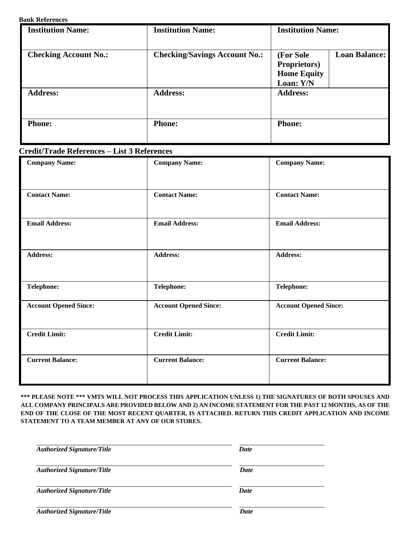## **Bank References**

| <b>Institution Name:</b>     | <b>Institution Name:</b>             | <b>Institution Name:</b>                                                        |  |
|------------------------------|--------------------------------------|---------------------------------------------------------------------------------|--|
|                              |                                      |                                                                                 |  |
| <b>Checking Account No.:</b> | <b>Checking/Savings Account No.:</b> | <b>Loan Balance:</b><br>(For Sole<br><b>Proprietors</b> )<br><b>Home Equity</b> |  |
|                              |                                      | Loan: Y/N                                                                       |  |
| <b>Address:</b>              | <b>Address:</b>                      | <b>Address:</b>                                                                 |  |
| <b>Phone:</b>                | <b>Phone:</b>                        | <b>Phone:</b>                                                                   |  |

## **Credit/Trade References – List 3 References**

| <b>Company Name:</b>         | <b>Company Name:</b>         | <b>Company Name:</b>         |  |
|------------------------------|------------------------------|------------------------------|--|
| <b>Contact Name:</b>         | <b>Contact Name:</b>         | <b>Contact Name:</b>         |  |
| <b>Email Address:</b>        | <b>Email Address:</b>        | <b>Email Address:</b>        |  |
| <b>Address:</b>              | <b>Address:</b>              | <b>Address:</b>              |  |
| <b>Telephone:</b>            | <b>Telephone:</b>            | <b>Telephone:</b>            |  |
| <b>Account Opened Since:</b> | <b>Account Opened Since:</b> | <b>Account Opened Since:</b> |  |
| <b>Credit Limit:</b>         | <b>Credit Limit:</b>         | <b>Credit Limit:</b>         |  |
| <b>Current Balance:</b>      | <b>Current Balance:</b>      | <b>Current Balance:</b>      |  |

**\*\*\* PLEASE NOTE \*\*\* VMTS WILL NOT PROCESS THIS APPLICATION UNLESS 1) THE SIGNATURES OF BOTH SPOUSES AND ALL COMPANY PRINCIPALS ARE PROVIDED BELOW AND 2) AN INCOME STATEMENT FOR THE PAST 12 MONTHS, AS OF THE END OF THE CLOSE OF THE MOST RECENT QUARTER, IS ATTACHED. RETURN THIS CREDIT APPLICATION AND INCOME STATEMENT TO A TEAM MEMBER AT ANY OF OUR STORES.**

| <b>Authorized Signature/Title</b> | Date |
|-----------------------------------|------|
| <b>Authorized Signature/Title</b> | Date |
| <b>Authorized Signature/Title</b> | Date |
| <b>Authorized Signature/Title</b> | Date |